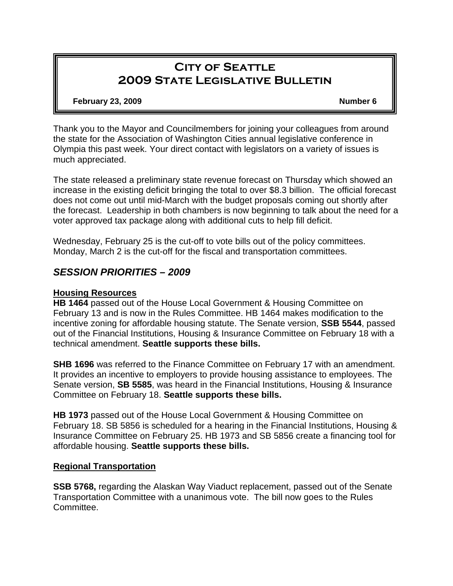# **City of Seattle 2009 State Legislative Bulletin**

#### **February 23, 2009 Number 6 Number 6**

Thank you to the Mayor and Councilmembers for joining your colleagues from around the state for the Association of Washington Cities annual legislative conference in Olympia this past week. Your direct contact with legislators on a variety of issues is much appreciated.

The state released a preliminary state revenue forecast on Thursday which showed an increase in the existing deficit bringing the total to over \$8.3 billion. The official forecast does not come out until mid-March with the budget proposals coming out shortly after the forecast. Leadership in both chambers is now beginning to talk about the need for a voter approved tax package along with additional cuts to help fill deficit.

Wednesday, February 25 is the cut-off to vote bills out of the policy committees. Monday, March 2 is the cut-off for the fiscal and transportation committees.

# *SESSION PRIORITIES – 2009*

### **Housing Resources**

**HB 1464** passed out of the House Local Government & Housing Committee on February 13 and is now in the Rules Committee. HB 1464 makes modification to the incentive zoning for affordable housing statute. The Senate version, **SSB 5544**, passed out of the Financial Institutions, Housing & Insurance Committee on February 18 with a technical amendment. **Seattle supports these bills.**

**SHB 1696** was referred to the Finance Committee on February 17 with an amendment. It provides an incentive to employers to provide housing assistance to employees. The Senate version, **SB 5585**, was heard in the Financial Institutions, Housing & Insurance Committee on February 18. **Seattle supports these bills.** 

**HB 1973** passed out of the House Local Government & Housing Committee on February 18. SB 5856 is scheduled for a hearing in the Financial Institutions, Housing & Insurance Committee on February 25. HB 1973 and SB 5856 create a financing tool for affordable housing. **Seattle supports these bills.** 

### **Regional Transportation**

**SSB 5768,** regarding the Alaskan Way Viaduct replacement, passed out of the Senate Transportation Committee with a unanimous vote. The bill now goes to the Rules Committee.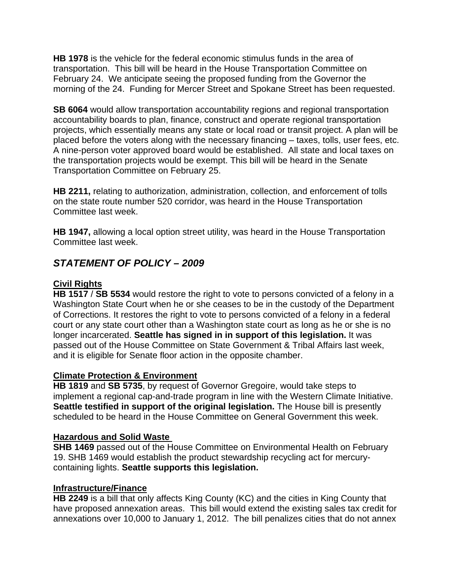**HB 1978** is the vehicle for the federal economic stimulus funds in the area of transportation. This bill will be heard in the House Transportation Committee on February 24. We anticipate seeing the proposed funding from the Governor the morning of the 24. Funding for Mercer Street and Spokane Street has been requested.

**SB 6064** would allow transportation accountability regions and regional transportation accountability boards to plan, finance, construct and operate regional transportation projects, which essentially means any state or local road or transit project. A plan will be placed before the voters along with the necessary financing – taxes, tolls, user fees, etc. A nine-person voter approved board would be established. All state and local taxes on the transportation projects would be exempt. This bill will be heard in the Senate Transportation Committee on February 25.

**HB 2211,** relating to authorization, administration, collection, and enforcement of tolls on the state route number 520 corridor, was heard in the House Transportation Committee last week.

**HB 1947,** allowing a local option street utility, was heard in the House Transportation Committee last week.

# *STATEMENT OF POLICY – 2009*

# **Civil Rights**

**HB 1517** / **SB 5534** would restore the right to vote to persons convicted of a felony in a Washington State Court when he or she ceases to be in the custody of the Department of Corrections. It restores the right to vote to persons convicted of a felony in a federal court or any state court other than a Washington state court as long as he or she is no longer incarcerated. **Seattle has signed in in support of this legislation.** It was passed out of the House Committee on State Government & Tribal Affairs last week, and it is eligible for Senate floor action in the opposite chamber.

# **Climate Protection & Environment**

**HB 1819** and **SB 5735**, by request of Governor Gregoire, would take steps to implement a regional cap-and-trade program in line with the Western Climate Initiative. **Seattle testified in support of the original legislation.** The House bill is presently scheduled to be heard in the House Committee on General Government this week.

# **Hazardous and Solid Waste**

**SHB 1469** passed out of the House Committee on Environmental Health on February 19. SHB 1469 would establish the product stewardship recycling act for mercurycontaining lights. **Seattle supports this legislation.** 

# **Infrastructure/Finance**

**HB 2249** is a bill that only affects King County (KC) and the cities in King County that have proposed annexation areas. This bill would extend the existing sales tax credit for annexations over 10,000 to January 1, 2012. The bill penalizes cities that do not annex